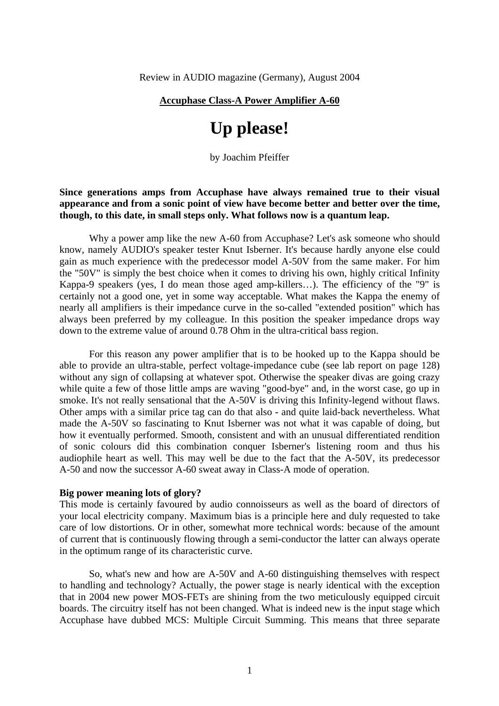#### **Accuphase Class-A Power Amplifier A-60**

# **Up please!**

by Joachim Pfeiffer

## **Since generations amps from Accuphase have always remained true to their visual appearance and from a sonic point of view have become better and better over the time, though, to this date, in small steps only. What follows now is a quantum leap.**

 Why a power amp like the new A-60 from Accuphase? Let's ask someone who should know, namely AUDIO's speaker tester Knut Isberner. It's because hardly anyone else could gain as much experience with the predecessor model A-50V from the same maker. For him the "50V" is simply the best choice when it comes to driving his own, highly critical Infinity Kappa-9 speakers (yes, I do mean those aged amp-killers…). The efficiency of the "9" is certainly not a good one, yet in some way acceptable. What makes the Kappa the enemy of nearly all amplifiers is their impedance curve in the so-called "extended position" which has always been preferred by my colleague. In this position the speaker impedance drops way down to the extreme value of around 0.78 Ohm in the ultra-critical bass region.

 For this reason any power amplifier that is to be hooked up to the Kappa should be able to provide an ultra-stable, perfect voltage-impedance cube (see lab report on page 128) without any sign of collapsing at whatever spot. Otherwise the speaker divas are going crazy while quite a few of those little amps are waving "good-bye" and, in the worst case, go up in smoke. It's not really sensational that the A-50V is driving this Infinity-legend without flaws. Other amps with a similar price tag can do that also - and quite laid-back nevertheless. What made the A-50V so fascinating to Knut Isberner was not what it was capable of doing, but how it eventually performed. Smooth, consistent and with an unusual differentiated rendition of sonic colours did this combination conquer Isberner's listening room and thus his audiophile heart as well. This may well be due to the fact that the A-50V, its predecessor A-50 and now the successor A-60 sweat away in Class-A mode of operation.

### **Big power meaning lots of glory?**

This mode is certainly favoured by audio connoisseurs as well as the board of directors of your local electricity company. Maximum bias is a principle here and duly requested to take care of low distortions. Or in other, somewhat more technical words: because of the amount of current that is continuously flowing through a semi-conductor the latter can always operate in the optimum range of its characteristic curve.

 So, what's new and how are A-50V and A-60 distinguishing themselves with respect to handling and technology? Actually, the power stage is nearly identical with the exception that in 2004 new power MOS-FETs are shining from the two meticulously equipped circuit boards. The circuitry itself has not been changed. What is indeed new is the input stage which Accuphase have dubbed MCS: Multiple Circuit Summing. This means that three separate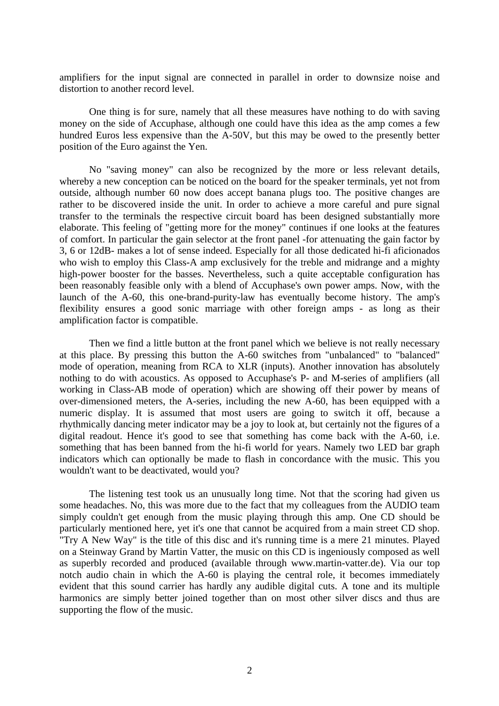amplifiers for the input signal are connected in parallel in order to downsize noise and distortion to another record level.

 One thing is for sure, namely that all these measures have nothing to do with saving money on the side of Accuphase, although one could have this idea as the amp comes a few hundred Euros less expensive than the A-50V, but this may be owed to the presently better position of the Euro against the Yen.

 No "saving money" can also be recognized by the more or less relevant details, whereby a new conception can be noticed on the board for the speaker terminals, yet not from outside, although number 60 now does accept banana plugs too. The positive changes are rather to be discovered inside the unit. In order to achieve a more careful and pure signal transfer to the terminals the respective circuit board has been designed substantially more elaborate. This feeling of "getting more for the money" continues if one looks at the features of comfort. In particular the gain selector at the front panel -for attenuating the gain factor by 3, 6 or 12dB- makes a lot of sense indeed. Especially for all those dedicated hi-fi aficionados who wish to employ this Class-A amp exclusively for the treble and midrange and a mighty high-power booster for the basses. Nevertheless, such a quite acceptable configuration has been reasonably feasible only with a blend of Accuphase's own power amps. Now, with the launch of the A-60, this one-brand-purity-law has eventually become history. The amp's flexibility ensures a good sonic marriage with other foreign amps - as long as their amplification factor is compatible.

 Then we find a little button at the front panel which we believe is not really necessary at this place. By pressing this button the A-60 switches from "unbalanced" to "balanced" mode of operation, meaning from RCA to XLR (inputs). Another innovation has absolutely nothing to do with acoustics. As opposed to Accuphase's P- and M-series of amplifiers (all working in Class-AB mode of operation) which are showing off their power by means of over-dimensioned meters, the A-series, including the new A-60, has been equipped with a numeric display. It is assumed that most users are going to switch it off, because a rhythmically dancing meter indicator may be a joy to look at, but certainly not the figures of a digital readout. Hence it's good to see that something has come back with the A-60, i.e. something that has been banned from the hi-fi world for years. Namely two LED bar graph indicators which can optionally be made to flash in concordance with the music. This you wouldn't want to be deactivated, would you?

 The listening test took us an unusually long time. Not that the scoring had given us some headaches. No, this was more due to the fact that my colleagues from the AUDIO team simply couldn't get enough from the music playing through this amp. One CD should be particularly mentioned here, yet it's one that cannot be acquired from a main street CD shop. "Try A New Way" is the title of this disc and it's running time is a mere 21 minutes. Played on a Steinway Grand by Martin Vatter, the music on this CD is ingeniously composed as well as superbly recorded and produced (available through www.martin-vatter.de). Via our top notch audio chain in which the A-60 is playing the central role, it becomes immediately evident that this sound carrier has hardly any audible digital cuts. A tone and its multiple harmonics are simply better joined together than on most other silver discs and thus are supporting the flow of the music.